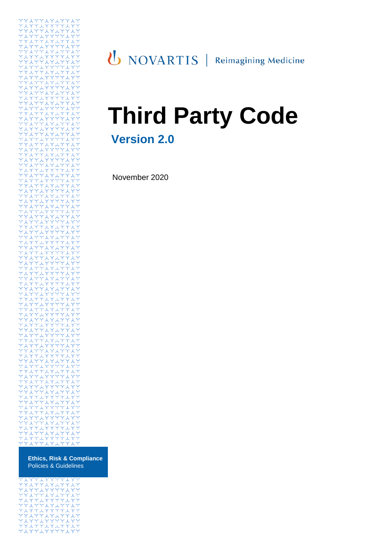

**Ethics, Risk & Compliance** Policies & Guidelines

# UNOVARTIS | Reimagining Medicine

# **Third Party Code Version 2.0**

November 2020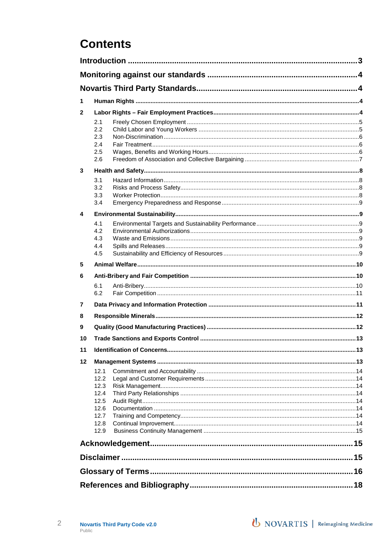## **Contents**

| 1  |                                                      |                                   |    |  |
|----|------------------------------------------------------|-----------------------------------|----|--|
| 2  |                                                      |                                   |    |  |
|    | 2.1<br>2.2<br>2.3<br>2.4<br>2.5                      |                                   |    |  |
|    | 2.6                                                  |                                   |    |  |
| 3  | 3.1                                                  |                                   |    |  |
|    | 3.2<br>3.3<br>3.4                                    |                                   |    |  |
| 4  |                                                      |                                   |    |  |
|    | 4.1<br>4.2<br>4.3<br>4.4<br>4.5                      |                                   |    |  |
| 5  |                                                      |                                   |    |  |
| 6  |                                                      |                                   |    |  |
|    | 6.1<br>6.2                                           |                                   |    |  |
| 7  |                                                      |                                   |    |  |
| 8  |                                                      |                                   |    |  |
| 9  |                                                      |                                   |    |  |
| 10 |                                                      |                                   |    |  |
| 11 |                                                      | <b>Identification of Concerns</b> | 13 |  |
| 12 |                                                      |                                   |    |  |
|    | 12.1<br>12.2<br>12.3<br>12.4<br>12.5<br>12.6<br>12.7 |                                   |    |  |
|    | 12.8                                                 |                                   |    |  |
|    | 12.9                                                 |                                   |    |  |
|    |                                                      |                                   |    |  |
|    |                                                      |                                   |    |  |
|    |                                                      |                                   |    |  |
|    |                                                      |                                   |    |  |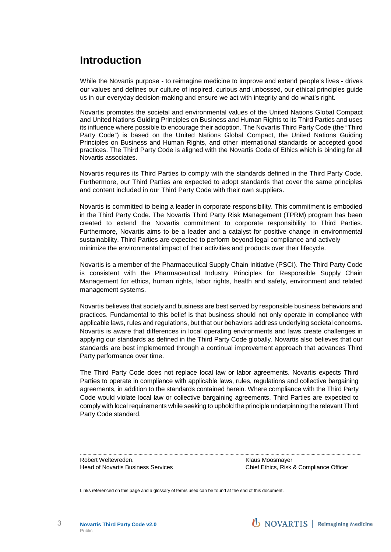## **Introduction**

While the Novartis purpose - to reimagine medicine to improve and extend people's lives - drives our values and defines our culture of inspired, curious and unbossed, our ethical principles guide us in our everyday decision-making and ensure we act with integrity and do what's right.

Novartis promotes the societal and environmental values of the United Nations Global Compact and United Nations Guiding Principles on Business and Human Rights to its Third Parties and uses its influence where possible to encourage their adoption. The Novartis Third Party Code (the "Third Party Code") is based on the United Nations Global Compact, the United Nations Guiding Principles on Business and Human Rights, and other international standards or accepted good practices. The Third Party Code is aligned with the Novartis Code of Ethics which is binding for all Novartis associates.

Novartis requires its Third Parties to comply with the standards defined in the Third Party Code. Furthermore, our Third Parties are expected to adopt standards that cover the same principles and content included in our Third Party Code with their own suppliers.

Novartis is committed to being a leader in corporate responsibility. This commitment is embodied in the Third Party Code. The Novartis Third Party Risk Management (TPRM) program has been created to extend the Novartis commitment to corporate responsibility to Third Parties. Furthermore, Novartis aims to be a leader and a catalyst for positive change in environmental sustainability. Third Parties are expected to perform beyond legal compliance and actively minimize the environmental impact of their activities and products over their lifecycle.

Novartis is a member of the Pharmaceutical Supply Chain Initiative (PSCI). The Third Party Code is consistent with the Pharmaceutical Industry Principles for Responsible Supply Chain Management for ethics, human rights, labor rights, health and safety, environment and related management systems.

Novartis believes that society and business are best served by responsible business behaviors and practices. Fundamental to this belief is that business should not only operate in compliance with applicable laws, rules and regulations, but that our behaviors address underlying societal concerns. Novartis is aware that differences in local operating environments and laws create challenges in applying our standards as defined in the Third Party Code globally. Novartis also believes that our standards are best implemented through a continual improvement approach that advances Third Party performance over time.

The Third Party Code does not replace local law or labor agreements. Novartis expects Third Parties to operate in compliance with applicable laws, rules, regulations and collective bargaining agreements, in addition to the standards contained herein. Where compliance with the Third Party Code would violate local law or collective bargaining agreements, Third Parties are expected to comply with local requirements while seeking to uphold the principle underpinning the relevant Third Party Code standard.

.................................................................................................................................................................................................................................. Robert Weltevreden. The Contract of the Contract of the Klaus Moosmayer

Head of Novartis Business Services Chief Ethics, Risk & Compliance Officer

Links referenced on this page and a glossary of terms used can be found at the end of this document.

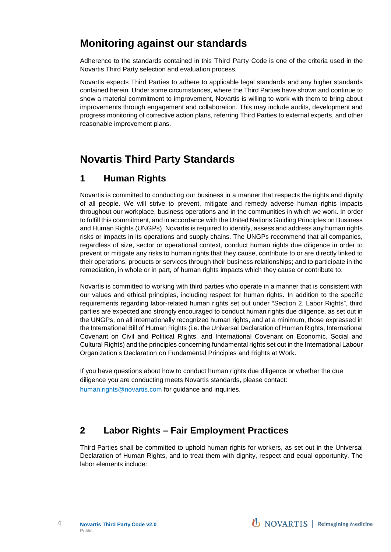## **Monitoring against our standards**

Adherence to the standards contained in this Third Party Code is one of the criteria used in the Novartis Third Party selection and evaluation process.

Novartis expects Third Parties to adhere to applicable legal standards and any higher standards contained herein. Under some circumstances, where the Third Parties have shown and continue to show a material commitment to improvement, Novartis is willing to work with them to bring about improvements through engagement and collaboration. This may include audits, development and progress monitoring of corrective action plans, referring Third Parties to external experts, and other reasonable improvement plans.

## **Novartis Third Party Standards**

## **1 Human Rights**

Novartis is committed to conducting our business in a manner that respects the rights and dignity of all people. We will strive to prevent, mitigate and remedy adverse human rights impacts throughout our workplace, business operations and in the communities in which we work. In order to fulfill this commitment, and in accordance with the United Nations Guiding Principles on Business and Human Rights (UNGPs), Novartis is required to identify, assess and address any human rights risks or impacts in its operations and supply chains. The UNGPs recommend that all companies, regardless of size, sector or operational context, conduct human rights due diligence in order to prevent or mitigate any risks to human rights that they cause, contribute to or are directly linked to their operations, products or services through their business relationships; and to participate in the remediation, in whole or in part, of human rights impacts which they cause or contribute to.

Novartis is committed to working with third parties who operate in a manner that is consistent with our values and ethical principles, including respect for human rights. In addition to the specific requirements regarding labor-related human rights set out under "Section 2. Labor Rights", third parties are expected and strongly encouraged to conduct human rights due diligence, as set out in the UNGPs, on all internationally recognized human rights, and at a minimum, those expressed in the International Bill of Human Rights (i.e. the Universal Declaration of Human Rights, International Covenant on Civil and Political Rights, and International Covenant on Economic, Social and Cultural Rights) and the principles concerning fundamental rights set out in the International Labour Organization's Declaration on Fundamental Principles and Rights at Work.

If you have questions about how to conduct human rights due diligence or whether the due diligence you are conducting meets Novartis standards, please contact: [human.rights@novartis.com](mailto:human.rights@novartis.com) for guidance and inquiries.

## **2 Labor Rights – Fair Employment Practices**

Third Parties shall be committed to uphold human rights for workers, as set out in the Universal Declaration of Human Rights, and to treat them with dignity, respect and equal opportunity. The labor elements include: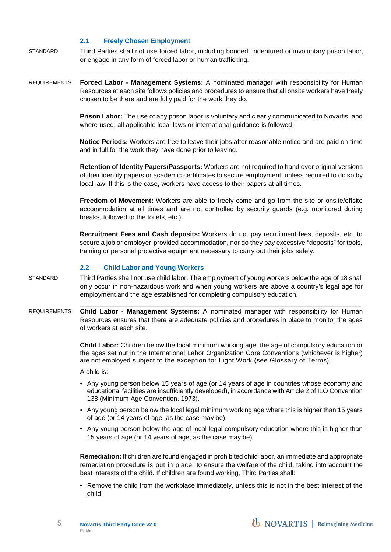#### **2.1 Freely Chosen Employment**

- STANDARD Third Parties shall not use forced labor, including bonded, indentured or involuntary prison labor, or engage in any form of forced labor or human trafficking.
- REQUIREMENTS **Forced Labor - Management Systems:** A nominated manager with responsibility for Human Resources at each site follows policies and procedures to ensure that all onsite workers have freely chosen to be there and are fully paid for the work they do.

**Prison Labor:** The use of any prison labor is voluntary and clearly communicated to Novartis, and where used, all applicable local laws or international guidance is followed.

**Notice Periods:** Workers are free to leave their jobs after reasonable notice and are paid on time and in full for the work they have done prior to leaving.

**Retention of Identity Papers/Passports:** Workers are not required to hand over original versions of their identity papers or academic certificates to secure employment, unless required to do so by local law. If this is the case, workers have access to their papers at all times.

**Freedom of Movement:** Workers are able to freely come and go from the site or onsite/offsite accommodation at all times and are not controlled by security guards (e.g. monitored during breaks, followed to the toilets, etc.).

**Recruitment Fees and Cash deposits:** Workers do not pay recruitment fees, deposits, etc. to secure a job or employer-provided accommodation, nor do they pay excessive "deposits" for tools, training or personal protective equipment necessary to carry out their jobs safely.

#### **2.2 Child Labor and Young Workers**

- STANDARD Third Parties shall not use child labor. The employment of young workers below the age of 18 shall only occur in non-hazardous work and when young workers are above a country's legal age for employment and the age established for completing compulsory education.
- REQUIREMENTS **Child Labor - Management Systems:** A nominated manager with responsibility for Human Resources ensures that there are adequate policies and procedures in place to monitor the ages of workers at each site.

**Child Labor:** Children below the local minimum working age, the age of compulsory education or the ages set out in the International Labor Organization Core Conventions (whichever is higher) are not employed subject to the exception for Light Work (see Glossary of Terms).

A child is:

- Any young person below 15 years of age (or 14 years of age in countries whose economy and educational facilities are insufficiently developed), in accordance with Article 2 of ILO Convention 138 (Minimum Age Convention, 1973).
- Any young person below the local legal minimum working age where this is higher than 15 years of age (or 14 years of age, as the case may be).
- Any young person below the age of local legal compulsory education where this is higher than 15 years of age (or 14 years of age, as the case may be).

**Remediation:** If children are found engaged in prohibited child labor, an immediate and appropriate remediation procedure is put in place, to ensure the welfare of the child, taking into account the best interests of the child. If children are found working, Third Parties shall:

• Remove the child from the workplace immediately, unless this is not in the best interest of the child

**U** NOVARTIS | Reimagining Medicine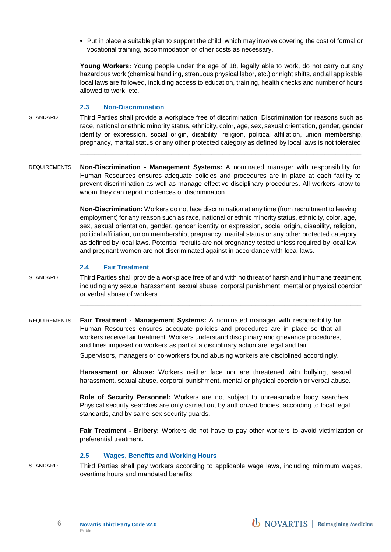• Put in place a suitable plan to support the child, which may involve covering the cost of formal or vocational training, accommodation or other costs as necessary.

**Young Workers:** Young people under the age of 18, legally able to work, do not carry out any hazardous work (chemical handling, strenuous physical labor, etc.) or night shifts, and all applicable local laws are followed, including access to education, training, health checks and number of hours allowed to work, etc.

#### **2.3 Non-Discrimination**

- STANDARD Third Parties shall provide a workplace free of discrimination. Discrimination for reasons such as race, national or ethnic minority status, ethnicity, color, age, sex, sexual orientation, gender, gender identity or expression, social origin, disability, religion, political affiliation, union membership, pregnancy, marital status or any other protected category as defined by local laws is not tolerated.
- REQUIREMENTS **Non-Discrimination - Management Systems:** A nominated manager with responsibility for Human Resources ensures adequate policies and procedures are in place at each facility to prevent discrimination as well as manage effective disciplinary procedures. All workers know to whom they can report incidences of discrimination.

**Non-Discrimination:** Workers do not face discrimination at any time (from recruitment to leaving employment) for any reason such as race, national or ethnic minority status, ethnicity, color, age, sex, sexual orientation, gender, gender identity or expression, social origin, disability, religion, political affiliation, union membership, pregnancy, marital status or any other protected category as defined by local laws. Potential recruits are not pregnancy-tested unless required by local law and pregnant women are not discriminated against in accordance with local laws.

#### **2.4 Fair Treatment**

- STANDARD Third Parties shall provide a workplace free of and with no threat of harsh and inhumane treatment, including any sexual harassment, sexual abuse, corporal punishment, mental or physical coercion or verbal abuse of workers.
- REQUIREMENTS **Fair Treatment - Management Systems:** A nominated manager with responsibility for Human Resources ensures adequate policies and procedures are in place so that all workers receive fair treatment. Workers understand disciplinary and grievance procedures, and fines imposed on workers as part of a disciplinary action are legal and fair.

Supervisors, managers or co-workers found abusing workers are disciplined accordingly.

**Harassment or Abuse:** Workers neither face nor are threatened with bullying, sexual harassment, sexual abuse, corporal punishment, mental or physical coercion or verbal abuse.

**Role of Security Personnel:** Workers are not subject to unreasonable body searches. Physical security searches are only carried out by authorized bodies, according to local legal standards, and by same-sex security guards.

**Fair Treatment - Bribery:** Workers do not have to pay other workers to avoid victimization or preferential treatment.

#### **2.5 Wages, Benefits and Working Hours**

STANDARD Third Parties shall pay workers according to applicable wage laws, including minimum wages, overtime hours and mandated benefits.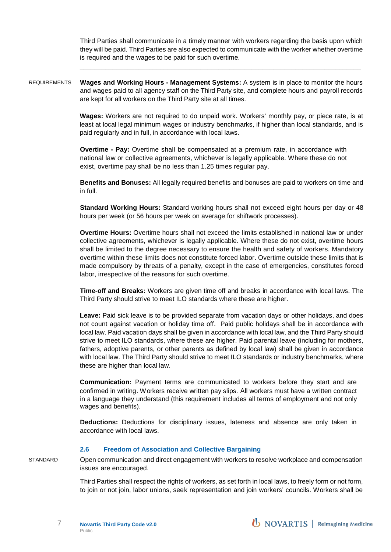Third Parties shall communicate in a timely manner with workers regarding the basis upon which they will be paid. Third Parties are also expected to communicate with the worker whether overtime is required and the wages to be paid for such overtime.

REQUIREMENTS **Wages and Working Hours - Management Systems:** A system is in place to monitor the hours and wages paid to all agency staff on the Third Party site, and complete hours and payroll records are kept for all workers on the Third Party site at all times.

> **Wages:** Workers are not required to do unpaid work. Workers' monthly pay, or piece rate, is at least at local legal minimum wages or industry benchmarks, if higher than local standards, and is paid regularly and in full, in accordance with local laws.

**Overtime - Pay:** Overtime shall be compensated at a premium rate, in accordance with national law or collective agreements, whichever is legally applicable. Where these do not exist, overtime pay shall be no less than 1.25 times regular pay.

**Benefits and Bonuses:** All legally required benefits and bonuses are paid to workers on time and in full.

**Standard Working Hours:** Standard working hours shall not exceed eight hours per day or 48 hours per week (or 56 hours per week on average for shiftwork processes).

**Overtime Hours:** Overtime hours shall not exceed the limits established in national law or under collective agreements, whichever is legally applicable. Where these do not exist, overtime hours shall be limited to the degree necessary to ensure the health and safety of workers. Mandatory overtime within these limits does not constitute forced labor. Overtime outside these limits that is made compulsory by threats of a penalty, except in the case of emergencies, constitutes forced labor, irrespective of the reasons for such overtime.

**Time-off and Breaks:** Workers are given time off and breaks in accordance with local laws. The Third Party should strive to meet ILO standards where these are higher.

**Leave:** Paid sick leave is to be provided separate from vacation days or other holidays, and does not count against vacation or holiday time off. Paid public holidays shall be in accordance with local law. Paid vacation days shall be given in accordance with local law, and the Third Party should strive to meet ILO standards, where these are higher. Paid parental leave (including for mothers, fathers, adoptive parents, or other parents as defined by local law) shall be given in accordance with local law. The Third Party should strive to meet ILO standards or industry benchmarks, where these are higher than local law.

**Communication:** Payment terms are communicated to workers before they start and are confirmed in writing. Workers receive written pay slips. All workers must have a written contract in a language they understand (this requirement includes all terms of employment and not only wages and benefits).

**Deductions:** Deductions for disciplinary issues, lateness and absence are only taken in accordance with local laws.

#### **2.6 Freedom of Association and Collective Bargaining**

STANDARD Open communication and direct engagement with workers to resolve workplace and compensation issues are encouraged.

> Third Parties shall respect the rights of workers, as set forth in local laws, to freely form or not form, to join or not join, labor unions, seek representation and join workers' councils. Workers shall be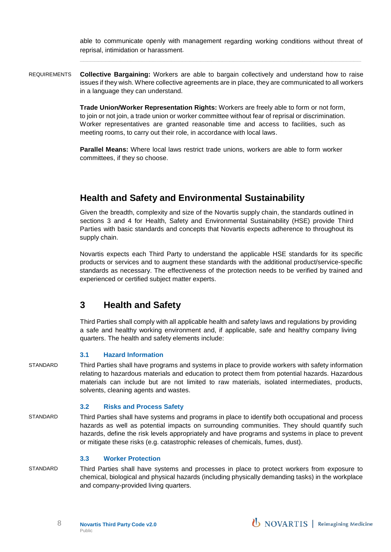able to communicate openly with management regarding working conditions without threat of reprisal, intimidation or harassment.

REQUIREMENTS **Collective Bargaining:** Workers are able to bargain collectively and understand how to raise issues if they wish. Where collective agreements are in place, they are communicated to all workers in a language they can understand.

> **Trade Union/Worker Representation Rights:** Workers are freely able to form or not form, to join or not join, a trade union or worker committee without fear of reprisal or discrimination. Worker representatives are granted reasonable time and access to facilities, such as meeting rooms, to carry out their role, in accordance with local laws.

**Parallel Means:** Where local laws restrict trade unions, workers are able to form worker committees, if they so choose.

## **Health and Safety and Environmental Sustainability**

Given the breadth, complexity and size of the Novartis supply chain, the standards outlined in sections 3 and 4 for Health, Safety and Environmental Sustainability (HSE) provide Third Parties with basic standards and concepts that Novartis expects adherence to throughout its supply chain.

Novartis expects each Third Party to understand the applicable HSE standards for its specific products or services and to augment these standards with the additional product/service-specific standards as necessary. The effectiveness of the protection needs to be verified by trained and experienced or certified subject matter experts.

## **3 Health and Safety**

Third Parties shall comply with all applicable health and safety laws and regulations by providing a safe and healthy working environment and, if applicable, safe and healthy company living quarters. The health and safety elements include:

#### **3.1 Hazard Information**

STANDARD Third Parties shall have programs and systems in place to provide workers with safety information relating to hazardous materials and education to protect them from potential hazards. Hazardous materials can include but are not limited to raw materials, isolated intermediates, products, solvents, cleaning agents and wastes.

#### **3.2 Risks and Process Safety**

STANDARD Third Parties shall have systems and programs in place to identify both occupational and process hazards as well as potential impacts on surrounding communities. They should quantify such hazards, define the risk levels appropriately and have programs and systems in place to prevent or mitigate these risks (e.g. catastrophic releases of chemicals, fumes, dust).

#### **3.3 Worker Protection**

STANDARD Third Parties shall have systems and processes in place to protect workers from exposure to chemical, biological and physical hazards (including physically demanding tasks) in the workplace and company-provided living quarters.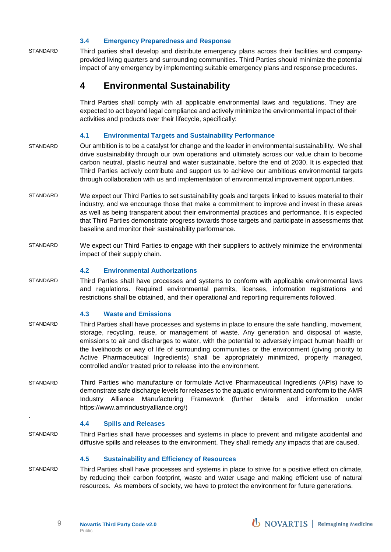#### **3.4 Emergency Preparedness and Response**

STANDARD Third parties shall develop and distribute emergency plans across their facilities and companyprovided living quarters and surrounding communities. Third Parties should minimize the potential impact of any emergency by implementing suitable emergency plans and response procedures.

#### **4 Environmental Sustainability**

Third Parties shall comply with all applicable environmental laws and regulations. They are expected to act beyond legal compliance and actively minimize the environmental impact of their activities and products over their lifecycle, specifically:

#### **4.1 Environmental Targets and Sustainability Performance**

- STANDARD Our ambition is to be a catalyst for change and the leader in environmental sustainability. We shall drive sustainability through our own operations and ultimately across our value chain to become carbon neutral, plastic neutral and water sustainable, before the end of 2030. It is expected that Third Parties actively contribute and support us to achieve our ambitious environmental targets through collaboration with us and implementation of environmental improvement opportunities.
- STANDARD We expect our Third Parties to set sustainability goals and targets linked to issues material to their industry, and we encourage those that make a commitment to improve and invest in these areas as well as being transparent about their environmental practices and performance. It is expected that Third Parties demonstrate progress towards those targets and participate in assessments that baseline and monitor their sustainability performance.
- STANDARD We expect our Third Parties to engage with their suppliers to actively minimize the environmental impact of their supply chain.

#### **4.2 Environmental Authorizations**

STANDARD Third Parties shall have processes and systems to conform with applicable environmental laws and regulations. Required environmental permits, licenses, information registrations and restrictions shall be obtained, and their operational and reporting requirements followed.

#### **4.3 Waste and Emissions**

- STANDARD Third Parties shall have processes and systems in place to ensure the safe handling, movement, storage, recycling, reuse, or management of waste. Any generation and disposal of waste, emissions to air and discharges to water, with the potential to adversely impact human health or the livelihoods or way of life of surrounding communities or the environment (giving priority to Active Pharmaceutical Ingredients) shall be appropriately minimized, properly managed, controlled and/or treated prior to release into the environment.
- STANDARD Third Parties who manufacture or formulate Active Pharmaceutical Ingredients (APIs) have to demonstrate safe discharge levels for releases to the aquatic environment and conform to the AMR Industry Alliance Manufacturing Framework (further details and information under [https://www.amrindustryalliance.org/](https://www.amrindustryalliance.org/)))

#### **4.4 Spills and Releases**

.

STANDARD Third Parties shall have processes and systems in place to prevent and mitigate accidental and diffusive spills and releases to the environment. They shall remedy any impacts that are caused.

#### **4.5 Sustainability and Efficiency of Resources**

STANDARD Third Parties shall have processes and systems in place to strive for a positive effect on climate, by reducing their carbon footprint, waste and water usage and making efficient use of natural resources. As members of society, we have to protect the environment for future generations.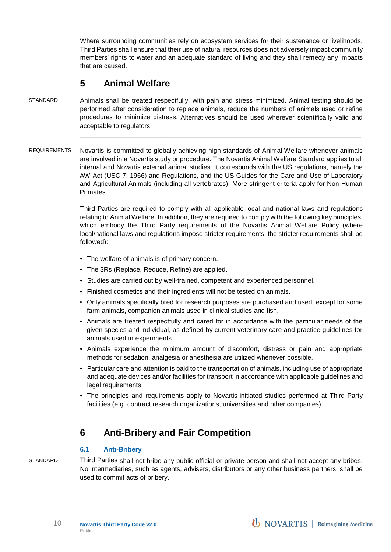Where surrounding communities rely on ecosystem services for their sustenance or livelihoods, Third Parties shall ensure that their use of natural resources does not adversely impact community members' rights to water and an adequate standard of living and they shall remedy any impacts that are caused.

## **5 Animal Welfare**

- STANDARD Animals shall be treated respectfully, with pain and stress minimized. Animal testing should be performed after consideration to replace animals, reduce the numbers of animals used or refine procedures to minimize distress. Alternatives should be used wherever scientifically valid and acceptable to regulators.
- REQUIREMENTS Novartis is committed to globally achieving high standards of Animal Welfare whenever animals are involved in a Novartis study or procedure. The Novartis Animal Welfare Standard applies to all internal and Novartis external animal studies. It corresponds with the US regulations, namely the AW Act (USC 7; 1966) and Regulations, and the US Guides for the Care and Use of Laboratory and Agricultural Animals (including all vertebrates). More stringent criteria apply for Non-Human Primates.

Third Parties are required to comply with all applicable local and national laws and regulations relating to Animal Welfare. In addition, they are required to comply with the following key principles, which embody the Third Party requirements of the Novartis Animal Welfare Policy (where local/national laws and regulations impose stricter requirements, the stricter requirements shall be followed):

- The welfare of animals is of primary concern.
- The 3Rs (Replace, Reduce, Refine) are applied.
- Studies are carried out by well-trained, competent and experienced personnel.
- Finished cosmetics and their ingredients will not be tested on animals.
- Only animals specifically bred for research purposes are purchased and used, except for some farm animals, companion animals used in clinical studies and fish.
- Animals are treated respectfully and cared for in accordance with the particular needs of the given species and individual, as defined by current veterinary care and practice guidelines for animals used in experiments.
- Animals experience the minimum amount of discomfort, distress or pain and appropriate methods for sedation, analgesia or anesthesia are utilized whenever possible.
- Particular care and attention is paid to the transportation of animals, including use of appropriate and adequate devices and/or facilities for transport in accordance with applicable guidelines and legal requirements.
- The principles and requirements apply to Novartis-initiated studies performed at Third Party facilities (e.g. contract research organizations, universities and other companies).

## **6 Anti-Bribery and Fair Competition**

#### **6.1 Anti-Bribery**

STANDARD Third Parties shall not bribe any public official or private person and shall not accept any bribes. No intermediaries, such as agents, advisers, distributors or any other business partners, shall be used to commit acts of bribery.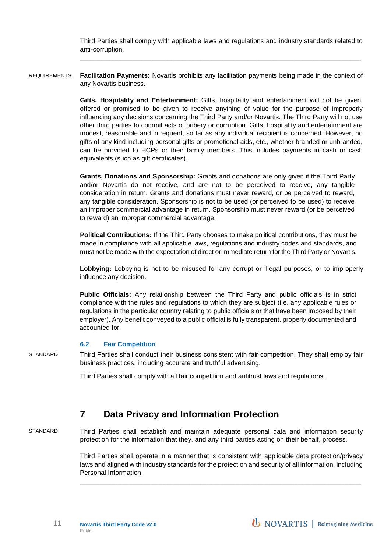Third Parties shall comply with applicable laws and regulations and industry standards related to anti-corruption.

REQUIREMENTS **Facilitation Payments:** Novartis prohibits any facilitation payments being made in the context of any Novartis business.

> **Gifts, Hospitality and Entertainment:** Gifts, hospitality and entertainment will not be given, offered or promised to be given to receive anything of value for the purpose of improperly influencing any decisions concerning the Third Party and/or Novartis. The Third Party will not use other third parties to commit acts of bribery or corruption. Gifts, hospitality and entertainment are modest, reasonable and infrequent, so far as any individual recipient is concerned. However, no gifts of any kind including personal gifts or promotional aids, etc., whether branded or unbranded, can be provided to HCPs or their family members. This includes payments in cash or cash equivalents (such as gift certificates).

**Grants, Donations and Sponsorship:** Grants and donations are only given if the Third Party and/or Novartis do not receive, and are not to be perceived to receive, any tangible consideration in return. Grants and donations must never reward, or be perceived to reward, any tangible consideration. Sponsorship is not to be used (or perceived to be used) to receive an improper commercial advantage in return. Sponsorship must never reward (or be perceived to reward) an improper commercial advantage.

**Political Contributions:** If the Third Party chooses to make political contributions, they must be made in compliance with all applicable laws, regulations and industry codes and standards, and must not be made with the expectation of direct or immediate return for the Third Party or Novartis.

**Lobbying:** Lobbying is not to be misused for any corrupt or illegal purposes, or to improperly influence any decision.

**Public Officials:** Any relationship between the Third Party and public officials is in strict compliance with the rules and regulations to which they are subject (i.e. any applicable rules or regulations in the particular country relating to public officials or that have been imposed by their employer). Any benefit conveyed to a public official is fully transparent, properly documented and accounted for.

#### **6.2 Fair Competition**

STANDARD Third Parties shall conduct their business consistent with fair competition. They shall employ fair business practices, including accurate and truthful advertising.

Third Parties shall comply with all fair competition and antitrust laws and regulations.

### **7 Data Privacy and Information Protection**

STANDARD Third Parties shall establish and maintain adequate personal data and information security protection for the information that they, and any third parties acting on their behalf, process.

> Third Parties shall operate in a manner that is consistent with applicable data protection/privacy laws and aligned with industry standards for the protection and security of all information, including Personal Information.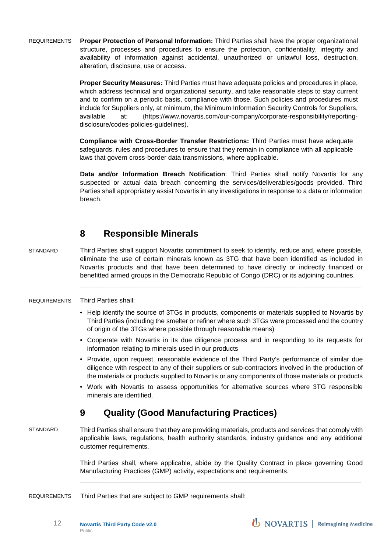REQUIREMENTS **Proper Protection of Personal Information:** Third Parties shall have the proper organizational structure, processes and procedures to ensure the protection, confidentiality, integrity and availability of information against accidental, unauthorized or unlawful loss, destruction, alteration, disclosure, use or access.

> **Proper Security Measures:** Third Parties must have adequate policies and procedures in place, which address technical and organizational security, and take reasonable steps to stay current and to confirm on a periodic basis, compliance with those. Such policies and procedures must include for Suppliers only, at minimum, the Minimum Information Security Controls for Suppliers, available at: [\(https://www.novartis.com/our-company/corporate-responsibility/reporting](https://www.novartis.com/our-company/corporate-responsibility/reporting-disclosure/codes-policies-guidelines)[disclosure/codes-policies-guidelines\)](https://www.novartis.com/our-company/corporate-responsibility/reporting-disclosure/codes-policies-guidelines).

**Compliance with Cross-Border Transfer Restrictions:** Third Parties must have adequate safeguards, rules and procedures to ensure that they remain in compliance with all applicable laws that govern cross-border data transmissions, where applicable.

**Data and/or Information Breach Notification**: Third Parties shall notify Novartis for any suspected or actual data breach concerning the services/deliverables/goods provided. Third Parties shall appropriately assist Novartis in any investigations in response to a data or information breach.

## **8 Responsible Minerals**

STANDARD Third Parties shall support Novartis commitment to seek to identify, reduce and, where possible, eliminate the use of certain minerals known as 3TG that have been identified as included in Novartis products and that have been determined to have directly or indirectly financed or benefitted armed groups in the Democratic Republic of Congo (DRC) or its adjoining countries.

#### REQUIREMENTS Third Parties shall:

• Help identify the source of 3TGs in products, components or materials supplied to Novartis by Third Parties (including the smelter or refiner where such 3TGs were processed and the country of origin of the 3TGs where possible through reasonable means)

 $\mathcal{L}_\text{max}$  , and the contribution of the contribution of the contribution of the contribution of the contribution of the contribution of the contribution of the contribution of the contribution of the contribution of t

- Cooperate with Novartis in its due diligence process and in responding to its requests for information relating to minerals used in our products
- Provide, upon request, reasonable evidence of the Third Party's performance of similar due diligence with respect to any of their suppliers or sub-contractors involved in the production of the materials or products supplied to Novartis or any components of those materials or products
- Work with Novartis to assess opportunities for alternative sources where 3TG responsible minerals are identified.

## **9 Quality (Good Manufacturing Practices)**

STANDARD Third Parties shall ensure that they are providing materials, products and services that comply with applicable laws, regulations, health authority standards, industry guidance and any additional customer requirements.

> Third Parties shall, where applicable, abide by the Quality Contract in place governing Good Manufacturing Practices (GMP) activity, expectations and requirements.

REQUIREMENTS Third Parties that are subject to GMP requirements shall:

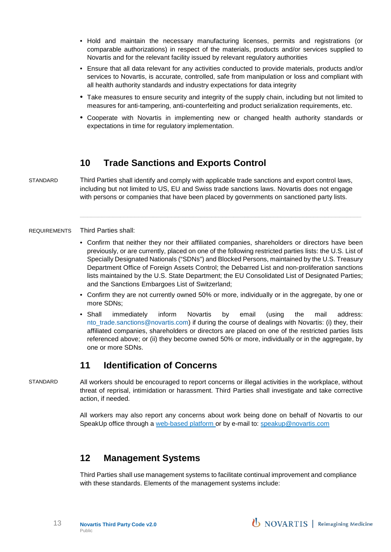- Hold and maintain the necessary manufacturing licenses, permits and registrations (or comparable authorizations) in respect of the materials, products and/or services supplied to Novartis and for the relevant facility issued by relevant regulatory authorities
- Ensure that all data relevant for any activities conducted to provide materials, products and/or services to Novartis, is accurate, controlled, safe from manipulation or loss and compliant with all health authority standards and industry expectations for data integrity
- Take measures to ensure security and integrity of the supply chain, including but not limited to measures for anti-tampering, anti-counterfeiting and product serialization requirements, etc.
- Cooperate with Novartis in implementing new or changed health authority standards or expectations in time for regulatory implementation.

### **10 Trade Sanctions and Exports Control**

STANDARD Third Parties shall identify and comply with applicable trade sanctions and export control laws, including but not limited to US, EU and Swiss trade sanctions laws. Novartis does not engage with persons or companies that have been placed by governments on sanctioned party lists.

#### REQUIREMENTS Third Parties shall:

- Confirm that neither they nor their affiliated companies, shareholders or directors have been previously, or are currently, placed on one of the following restricted parties lists: the U.S. List of Specially Designated Nationals ("SDNs") and Blocked Persons, maintained by the U.S. Treasury Department Office of Foreign Assets Control; the Debarred List and non-proliferation sanctions lists maintained by the U.S. State Department; the EU Consolidated List of Designated Parties; and the Sanctions Embargoes List of Switzerland;
- Confirm they are not currently owned 50% or more, individually or in the aggregate, by one or more SDNs;
- Shall immediately inform Novartis by email (using the mail address: nto trade.sanctions@novartis.com) if during the course of dealings with Novartis: (i) they, their affiliated companies, shareholders or directors are placed on one of the restricted parties lists referenced above; or (ii) they become owned 50% or more, individually or in the aggregate, by one or more SDNs.

## **11 Identification of Concerns**

STANDARD All workers should be encouraged to report concerns or illegal activities in the workplace, without threat of reprisal, intimidation or harassment. Third Parties shall investigate and take corrective action, if needed.

> All workers may also report any concerns about work being done on behalf of Novartis to our SpeakUp office through a [web-based platform](http://www.speakupnovartis.ethicspoint.com/) or by e-mail to: [speakup@novartis.com](mailto:speakup@novartis.com)

## **12 Management Systems**

Third Parties shall use management systems to facilitate continual improvement and compliance with these standards. Elements of the management systems include: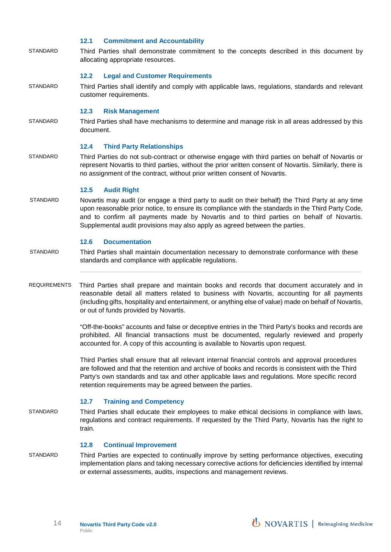#### **12.1 Commitment and Accountability**

STANDARD Third Parties shall demonstrate commitment to the concepts described in this document by allocating appropriate resources.

#### **12.2 Legal and Customer Requirements**

STANDARD Third Parties shall identify and comply with applicable laws, regulations, standards and relevant customer requirements.

#### **12.3 Risk Management**

STANDARD Third Parties shall have mechanisms to determine and manage risk in all areas addressed by this document.

#### **12.4 Third Party Relationships**

STANDARD Third Parties do not sub-contract or otherwise engage with third parties on behalf of Novartis or represent Novartis to third parties, without the prior written consent of Novartis. Similarly, there is no assignment of the contract, without prior written consent of Novartis.

#### **12.5 Audit Right**

STANDARD Novartis may audit (or engage a third party to audit on their behalf) the Third Party at any time upon reasonable prior notice, to ensure its compliance with the standards in the Third Party Code, and to confirm all payments made by Novartis and to third parties on behalf of Novartis. Supplemental audit provisions may also apply as agreed between the parties.

#### **12.6 Documentation**

- STANDARD Third Parties shall maintain documentation necessary to demonstrate conformance with these standards and compliance with applicable regulations.
- REQUIREMENTS Third Parties shall prepare and maintain books and records that document accurately and in reasonable detail all matters related to business with Novartis, accounting for all payments (including gifts, hospitality and entertainment, or anything else of value) made on behalf of Novartis, or out of funds provided by Novartis.

"Off-the-books" accounts and false or deceptive entries in the Third Party's books and records are prohibited. All financial transactions must be documented, regularly reviewed and properly accounted for. A copy of this accounting is available to Novartis upon request.

Third Parties shall ensure that all relevant internal financial controls and approval procedures are followed and that the retention and archive of books and records is consistent with the Third Party's own standards and tax and other applicable laws and regulations. More specific record retention requirements may be agreed between the parties.

#### **12.7 Training and Competency**

STANDARD Third Parties shall educate their employees to make ethical decisions in compliance with laws, regulations and contract requirements. If requested by the Third Party, Novartis has the right to train.

#### **12.8 Continual Improvement**

STANDARD Third Parties are expected to continually improve by setting performance objectives, executing implementation plans and taking necessary corrective actions for deficiencies identified by internal or external assessments, audits, inspections and management reviews.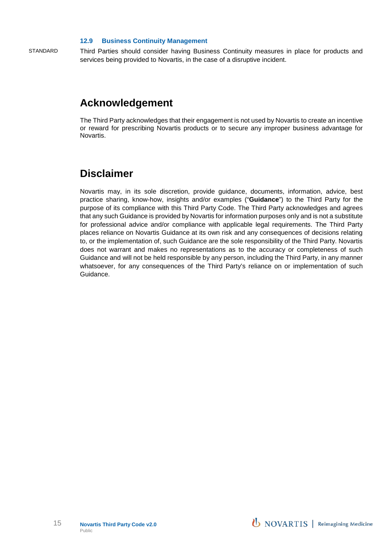#### **12.9 Business Continuity Management**

STANDARD Third Parties should consider having Business Continuity measures in place for products and services being provided to Novartis, in the case of a disruptive incident.

## **Acknowledgement**

The Third Party acknowledges that their engagement is not used by Novartis to create an incentive or reward for prescribing Novartis products or to secure any improper business advantage for Novartis.

## **Disclaimer**

Novartis may, in its sole discretion, provide guidance, documents, information, advice, best practice sharing, know-how, insights and/or examples ("**Guidance**") to the Third Party for the purpose of its compliance with this Third Party Code. The Third Party acknowledges and agrees that any such Guidance is provided by Novartis for information purposes only and is not a substitute for professional advice and/or compliance with applicable legal requirements. The Third Party places reliance on Novartis Guidance at its own risk and any consequences of decisions relating to, or the implementation of, such Guidance are the sole responsibility of the Third Party. Novartis does not warrant and makes no representations as to the accuracy or completeness of such Guidance and will not be held responsible by any person, including the Third Party, in any manner whatsoever, for any consequences of the Third Party's reliance on or implementation of such Guidance.

**U** NOVARTIS | Reimagining Medicine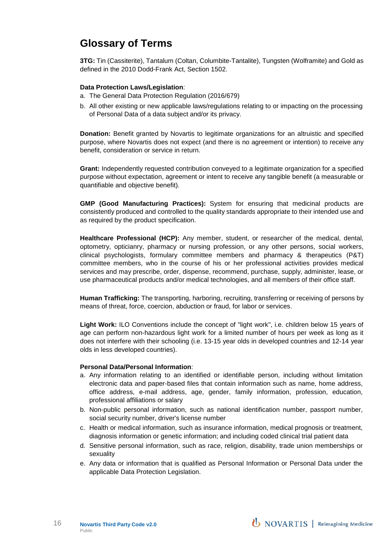## **Glossary of Terms**

**3TG:** Tin (Cassiterite), Tantalum (Coltan, Columbite-Tantalite), Tungsten (Wolframite) and Gold as defined in the 2010 Dodd-Frank Act, Section 1502.

#### **Data Protection Laws/Legislation**:

- a. The General Data Protection Regulation (2016/679)
- b. All other existing or new applicable laws/regulations relating to or impacting on the processing of Personal Data of a data subject and/or its privacy.

**Donation:** Benefit granted by Novartis to legitimate organizations for an altruistic and specified purpose, where Novartis does not expect (and there is no agreement or intention) to receive any benefit, consideration or service in return.

**Grant:** Independently requested contribution conveyed to a legitimate organization for a specified purpose without expectation, agreement or intent to receive any tangible benefit (a measurable or quantifiable and objective benefit).

**GMP (Good Manufacturing Practices):** System for ensuring that medicinal products are consistently produced and controlled to the quality standards appropriate to their intended use and as required by the product specification.

**Healthcare Professional (HCP):** Any member, student, or researcher of the medical, dental, optometry, opticianry, pharmacy or nursing profession, or any other persons, social workers, clinical psychologists, formulary committee members and pharmacy & therapeutics (P&T) committee members, who in the course of his or her professional activities provides medical services and may prescribe, order, dispense, recommend, purchase, supply, administer, lease, or use pharmaceutical products and/or medical technologies, and all members of their office staff.

**Human Trafficking:** The transporting, harboring, recruiting, transferring or receiving of persons by means of threat, force, coercion, abduction or fraud, for labor or services.

**Light Work:** ILO Conventions include the concept of "light work", i.e. children below 15 years of age can perform non-hazardous light work for a limited number of hours per week as long as it does not interfere with their schooling (i.e. 13-15 year olds in developed countries and 12-14 year olds in less developed countries).

#### **Personal Data/Personal Information**:

- a. Any information relating to an identified or identifiable person, including without limitation electronic data and paper-based files that contain information such as name, home address, office address, e-mail address, age, gender, family information, profession, education, professional affiliations or salary
- b. Non-public personal information, such as national identification number, passport number, social security number, driver's license number
- c. Health or medical information, such as insurance information, medical prognosis or treatment, diagnosis information or genetic information; and including coded clinical trial patient data
- d. Sensitive personal information, such as race, religion, disability, trade union memberships or sexuality
- e. Any data or information that is qualified as Personal Information or Personal Data under the applicable Data Protection Legislation.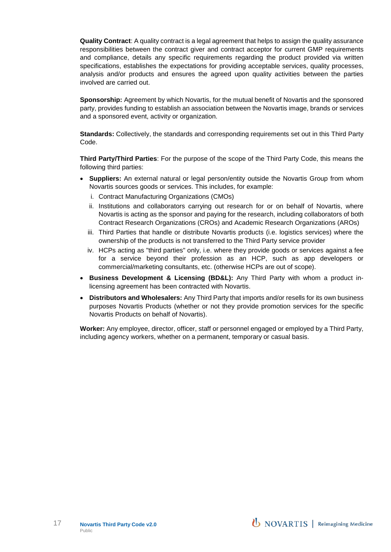**Quality Contract**: A quality contract is a legal agreement that helps to assign the quality assurance responsibilities between the contract giver and contract acceptor for current GMP requirements and compliance, details any specific requirements regarding the product provided via written specifications, establishes the expectations for providing acceptable services, quality processes, analysis and/or products and ensures the agreed upon quality activities between the parties involved are carried out.

**Sponsorship:** Agreement by which Novartis, for the mutual benefit of Novartis and the sponsored party, provides funding to establish an association between the Novartis image, brands or services and a sponsored event, activity or organization.

**Standards:** Collectively, the standards and corresponding requirements set out in this Third Party Code.

**Third Party/Third Parties**: For the purpose of the scope of the Third Party Code, this means the following third parties:

- **Suppliers:** An external natural or legal person/entity outside the Novartis Group from whom Novartis sources goods or services. This includes, for example:
	- i. Contract Manufacturing Organizations (CMOs)
	- ii. Institutions and collaborators carrying out research for or on behalf of Novartis, where Novartis is acting as the sponsor and paying for the research, including collaborators of both Contract Research Organizations (CROs) and Academic Research Organizations (AROs)
	- iii. Third Parties that handle or distribute Novartis products (i.e. logistics services) where the ownership of the products is not transferred to the Third Party service provider
	- iv. HCPs acting as "third parties" only, i.e. where they provide goods or services against a fee for a service beyond their profession as an HCP, such as app developers or commercial/marketing consultants, etc. (otherwise HCPs are out of scope).
- **Business Development & Licensing (BD&L):** Any Third Party with whom a product inlicensing agreement has been contracted with Novartis.
- **Distributors and Wholesalers:** Any Third Party that imports and/or resells for its own business purposes Novartis Products (whether or not they provide promotion services for the specific Novartis Products on behalf of Novartis).

**Worker:** Any employee, director, officer, staff or personnel engaged or employed by a Third Party, including agency workers, whether on a permanent, temporary or casual basis.

**U** NOVARTIS | Reimagining Medicine